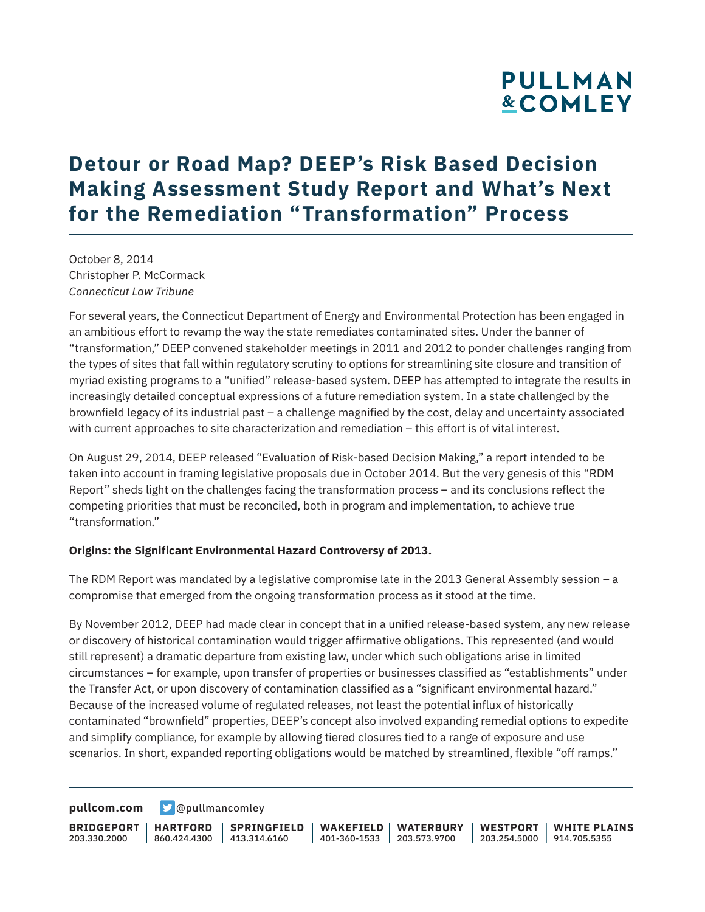### **Detour or Road Map? DEEP's Risk Based Decision Making Assessment Study Report and What's Next for the Remediation "Transformation" Process**

October 8, 2014 Christopher P. McCormack *Connecticut Law Tribune*

For several years, the Connecticut Department of Energy and Environmental Protection has been engaged in an ambitious effort to revamp the way the state remediates contaminated sites. Under the banner of "transformation," DEEP convened stakeholder meetings in 2011 and 2012 to ponder challenges ranging from the types of sites that fall within regulatory scrutiny to options for streamlining site closure and transition of myriad existing programs to a "unified" release-based system. DEEP has attempted to integrate the results in increasingly detailed conceptual expressions of a future remediation system. In a state challenged by the brownfield legacy of its industrial past – a challenge magnified by the cost, delay and uncertainty associated with current approaches to site characterization and remediation – this effort is of vital interest.

On August 29, 2014, DEEP released "Evaluation of Risk-based Decision Making," a report intended to be taken into account in framing legislative proposals due in October 2014. But the very genesis of this "RDM Report" sheds light on the challenges facing the transformation process – and its conclusions reflect the competing priorities that must be reconciled, both in program and implementation, to achieve true "transformation."

#### **Origins: the Significant Environmental Hazard Controversy of 2013.**

The RDM Report was mandated by a legislative compromise late in the 2013 General Assembly session – a compromise that emerged from the ongoing transformation process as it stood at the time.

By November 2012, DEEP had made clear in concept that in a unified release-based system, any new release or discovery of historical contamination would trigger affirmative obligations. This represented (and would still represent) a dramatic departure from existing law, under which such obligations arise in limited circumstances – for example, upon transfer of properties or businesses classified as "establishments" under the Transfer Act, or upon discovery of contamination classified as a "significant environmental hazard." Because of the increased volume of regulated releases, not least the potential influx of historically contaminated "brownfield" properties, DEEP's concept also involved expanding remedial options to expedite and simplify compliance, for example by allowing tiered closures tied to a range of exposure and use scenarios. In short, expanded reporting obligations would be matched by streamlined, flexible "off ramps."

**[pullcom.com](https://www.pullcom.com) g** [@pullmancomley](https://twitter.com/PullmanComley)

**BRIDGEPORT HARTFORD** 203.330.2000 860.424.4300 413.314.6160 **SPRINGFIELD WAKEFIELD WATERBURY** 401-360-1533 203.573.9700 **WESTPORT WHITE PLAINS** 203.254.5000 914.705.5355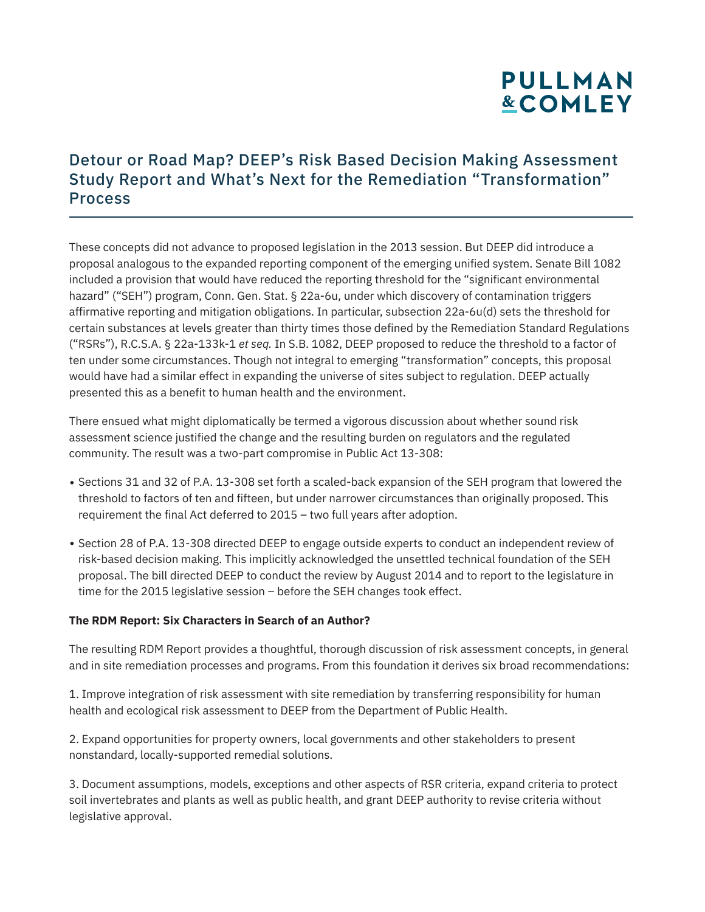### Detour or Road Map? DEEP's Risk Based Decision Making Assessment Study Report and What's Next for the Remediation "Transformation" Process

These concepts did not advance to proposed legislation in the 2013 session. But DEEP did introduce a proposal analogous to the expanded reporting component of the emerging unified system. Senate Bill 1082 included a provision that would have reduced the reporting threshold for the "significant environmental hazard" ("SEH") program, Conn. Gen. Stat. § 22a-6u, under which discovery of contamination triggers affirmative reporting and mitigation obligations. In particular, subsection 22a-6u(d) sets the threshold for certain substances at levels greater than thirty times those defined by the Remediation Standard Regulations ("RSRs"), R.C.S.A. § 22a-133k-1 *et seq.* In S.B. 1082, DEEP proposed to reduce the threshold to a factor of ten under some circumstances. Though not integral to emerging "transformation" concepts, this proposal would have had a similar effect in expanding the universe of sites subject to regulation. DEEP actually presented this as a benefit to human health and the environment.

There ensued what might diplomatically be termed a vigorous discussion about whether sound risk assessment science justified the change and the resulting burden on regulators and the regulated community. The result was a two-part compromise in Public Act 13-308:

- Sections 31 and 32 of P.A. 13-308 set forth a scaled-back expansion of the SEH program that lowered the threshold to factors of ten and fifteen, but under narrower circumstances than originally proposed. This requirement the final Act deferred to 2015 – two full years after adoption.
- Section 28 of P.A. 13-308 directed DEEP to engage outside experts to conduct an independent review of risk-based decision making. This implicitly acknowledged the unsettled technical foundation of the SEH proposal. The bill directed DEEP to conduct the review by August 2014 and to report to the legislature in time for the 2015 legislative session – before the SEH changes took effect.

#### **The RDM Report: Six Characters in Search of an Author?**

The resulting RDM Report provides a thoughtful, thorough discussion of risk assessment concepts, in general and in site remediation processes and programs. From this foundation it derives six broad recommendations:

1. Improve integration of risk assessment with site remediation by transferring responsibility for human health and ecological risk assessment to DEEP from the Department of Public Health.

2. Expand opportunities for property owners, local governments and other stakeholders to present nonstandard, locally-supported remedial solutions.

3. Document assumptions, models, exceptions and other aspects of RSR criteria, expand criteria to protect soil invertebrates and plants as well as public health, and grant DEEP authority to revise criteria without legislative approval.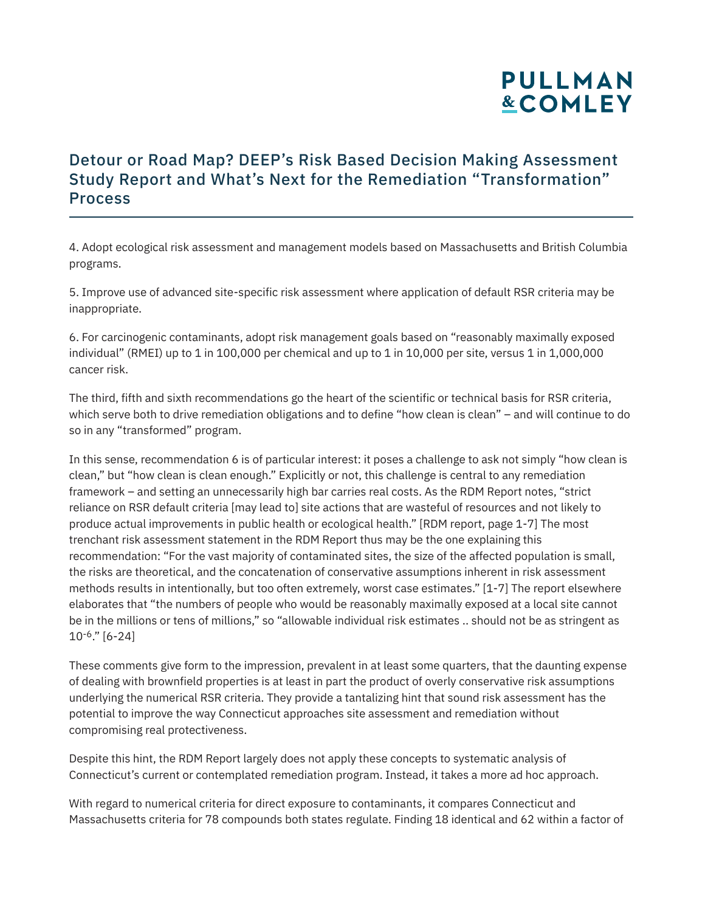### Detour or Road Map? DEEP's Risk Based Decision Making Assessment Study Report and What's Next for the Remediation "Transformation" Process

4. Adopt ecological risk assessment and management models based on Massachusetts and British Columbia programs.

5. Improve use of advanced site-specific risk assessment where application of default RSR criteria may be inappropriate.

6. For carcinogenic contaminants, adopt risk management goals based on "reasonably maximally exposed individual" (RMEI) up to 1 in 100,000 per chemical and up to 1 in 10,000 per site, versus 1 in 1,000,000 cancer risk.

The third, fifth and sixth recommendations go the heart of the scientific or technical basis for RSR criteria, which serve both to drive remediation obligations and to define "how clean is clean" – and will continue to do so in any "transformed" program.

In this sense, recommendation 6 is of particular interest: it poses a challenge to ask not simply "how clean is clean," but "how clean is clean enough." Explicitly or not, this challenge is central to any remediation framework – and setting an unnecessarily high bar carries real costs. As the RDM Report notes, "strict reliance on RSR default criteria [may lead to] site actions that are wasteful of resources and not likely to produce actual improvements in public health or ecological health." [RDM report, page 1-7] The most trenchant risk assessment statement in the RDM Report thus may be the one explaining this recommendation: "For the vast majority of contaminated sites, the size of the affected population is small, the risks are theoretical, and the concatenation of conservative assumptions inherent in risk assessment methods results in intentionally, but too often extremely, worst case estimates." [1-7] The report elsewhere elaborates that "the numbers of people who would be reasonably maximally exposed at a local site cannot be in the millions or tens of millions," so "allowable individual risk estimates .. should not be as stringent as 10-6." [6-24]

These comments give form to the impression, prevalent in at least some quarters, that the daunting expense of dealing with brownfield properties is at least in part the product of overly conservative risk assumptions underlying the numerical RSR criteria. They provide a tantalizing hint that sound risk assessment has the potential to improve the way Connecticut approaches site assessment and remediation without compromising real protectiveness.

Despite this hint, the RDM Report largely does not apply these concepts to systematic analysis of Connecticut's current or contemplated remediation program. Instead, it takes a more ad hoc approach.

With regard to numerical criteria for direct exposure to contaminants, it compares Connecticut and Massachusetts criteria for 78 compounds both states regulate. Finding 18 identical and 62 within a factor of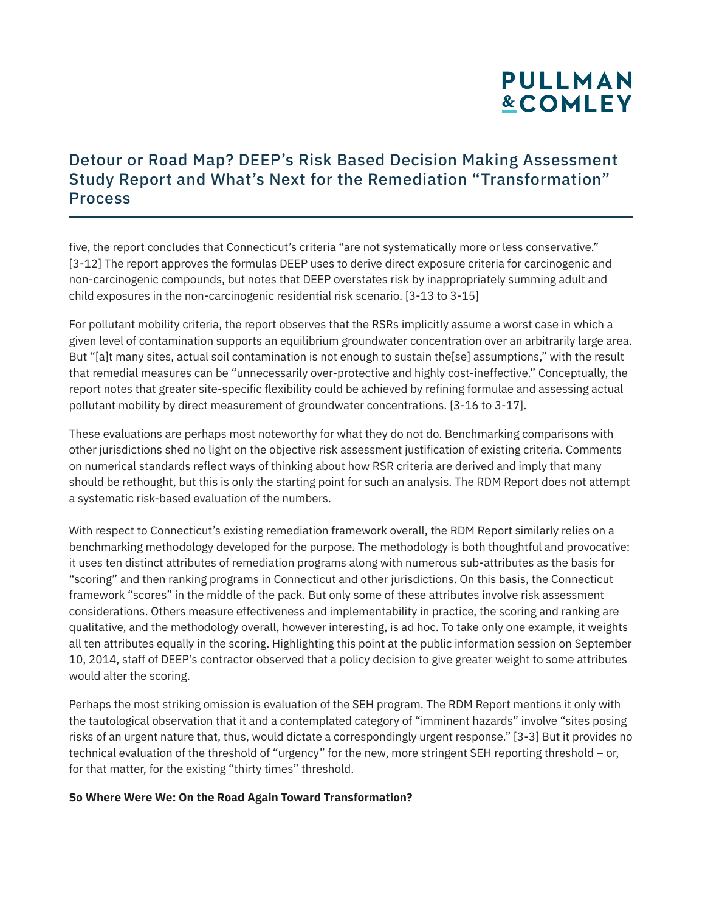### Detour or Road Map? DEEP's Risk Based Decision Making Assessment Study Report and What's Next for the Remediation "Transformation" Process

five, the report concludes that Connecticut's criteria "are not systematically more or less conservative." [3-12] The report approves the formulas DEEP uses to derive direct exposure criteria for carcinogenic and non-carcinogenic compounds, but notes that DEEP overstates risk by inappropriately summing adult and child exposures in the non-carcinogenic residential risk scenario. [3-13 to 3-15]

For pollutant mobility criteria, the report observes that the RSRs implicitly assume a worst case in which a given level of contamination supports an equilibrium groundwater concentration over an arbitrarily large area. But "[a]t many sites, actual soil contamination is not enough to sustain the [se] assumptions," with the result that remedial measures can be "unnecessarily over-protective and highly cost-ineffective." Conceptually, the report notes that greater site-specific flexibility could be achieved by refining formulae and assessing actual pollutant mobility by direct measurement of groundwater concentrations. [3-16 to 3-17].

These evaluations are perhaps most noteworthy for what they do not do. Benchmarking comparisons with other jurisdictions shed no light on the objective risk assessment justification of existing criteria. Comments on numerical standards reflect ways of thinking about how RSR criteria are derived and imply that many should be rethought, but this is only the starting point for such an analysis. The RDM Report does not attempt a systematic risk-based evaluation of the numbers.

With respect to Connecticut's existing remediation framework overall, the RDM Report similarly relies on a benchmarking methodology developed for the purpose. The methodology is both thoughtful and provocative: it uses ten distinct attributes of remediation programs along with numerous sub-attributes as the basis for "scoring" and then ranking programs in Connecticut and other jurisdictions. On this basis, the Connecticut framework "scores" in the middle of the pack. But only some of these attributes involve risk assessment considerations. Others measure effectiveness and implementability in practice, the scoring and ranking are qualitative, and the methodology overall, however interesting, is ad hoc. To take only one example, it weights all ten attributes equally in the scoring. Highlighting this point at the public information session on September 10, 2014, staff of DEEP's contractor observed that a policy decision to give greater weight to some attributes would alter the scoring.

Perhaps the most striking omission is evaluation of the SEH program. The RDM Report mentions it only with the tautological observation that it and a contemplated category of "imminent hazards" involve "sites posing risks of an urgent nature that, thus, would dictate a correspondingly urgent response." [3-3] But it provides no technical evaluation of the threshold of "urgency" for the new, more stringent SEH reporting threshold – or, for that matter, for the existing "thirty times" threshold.

#### **So Where Were We: On the Road Again Toward Transformation?**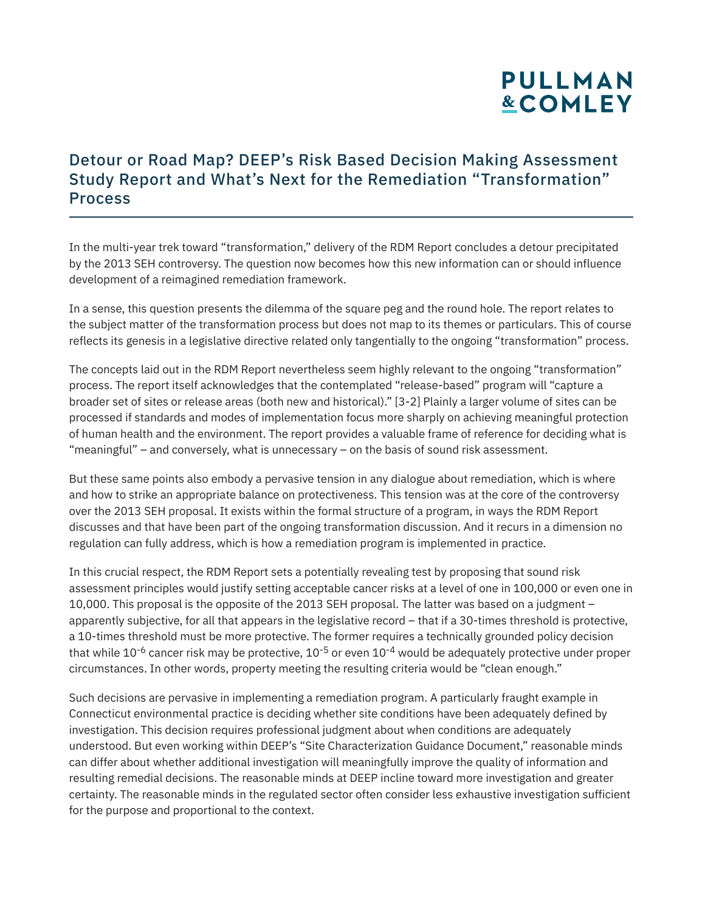### Detour or Road Map? DEEP's Risk Based Decision Making Assessment Study Report and What's Next for the Remediation "Transformation" Process

In the multi-year trek toward "transformation," delivery of the RDM Report concludes a detour precipitated by the 2013 SEH controversy. The question now becomes how this new information can or should influence development of a reimagined remediation framework.

In a sense, this question presents the dilemma of the square peg and the round hole. The report relates to the subject matter of the transformation process but does not map to its themes or particulars. This of course reflects its genesis in a legislative directive related only tangentially to the ongoing "transformation" process.

The concepts laid out in the RDM Report nevertheless seem highly relevant to the ongoing "transformation" process. The report itself acknowledges that the contemplated "release-based" program will "capture a broader set of sites or release areas (both new and historical)." [3-2] Plainly a larger volume of sites can be processed if standards and modes of implementation focus more sharply on achieving meaningful protection of human health and the environment. The report provides a valuable frame of reference for deciding what is "meaningful" – and conversely, what is unnecessary – on the basis of sound risk assessment.

But these same points also embody a pervasive tension in any dialogue about remediation, which is where and how to strike an appropriate balance on protectiveness. This tension was at the core of the controversy over the 2013 SEH proposal. It exists within the formal structure of a program, in ways the RDM Report discusses and that have been part of the ongoing transformation discussion. And it recurs in a dimension no regulation can fully address, which is how a remediation program is implemented in practice.

In this crucial respect, the RDM Report sets a potentially revealing test by proposing that sound risk assessment principles would justify setting acceptable cancer risks at a level of one in 100,000 or even one in 10,000. This proposal is the opposite of the 2013 SEH proposal. The latter was based on a judgment – apparently subjective, for all that appears in the legislative record – that if a 30-times threshold is protective, a 10-times threshold must be more protective. The former requires a technically grounded policy decision that while  $10^{-6}$  cancer risk may be protective,  $10^{-5}$  or even  $10^{-4}$  would be adequately protective under proper circumstances. In other words, property meeting the resulting criteria would be "clean enough."

Such decisions are pervasive in implementing a remediation program. A particularly fraught example in Connecticut environmental practice is deciding whether site conditions have been adequately defined by investigation. This decision requires professional judgment about when conditions are adequately understood. But even working within DEEP's "Site Characterization Guidance Document," reasonable minds can differ about whether additional investigation will meaningfully improve the quality of information and resulting remedial decisions. The reasonable minds at DEEP incline toward more investigation and greater certainty. The reasonable minds in the regulated sector often consider less exhaustive investigation sufficient for the purpose and proportional to the context.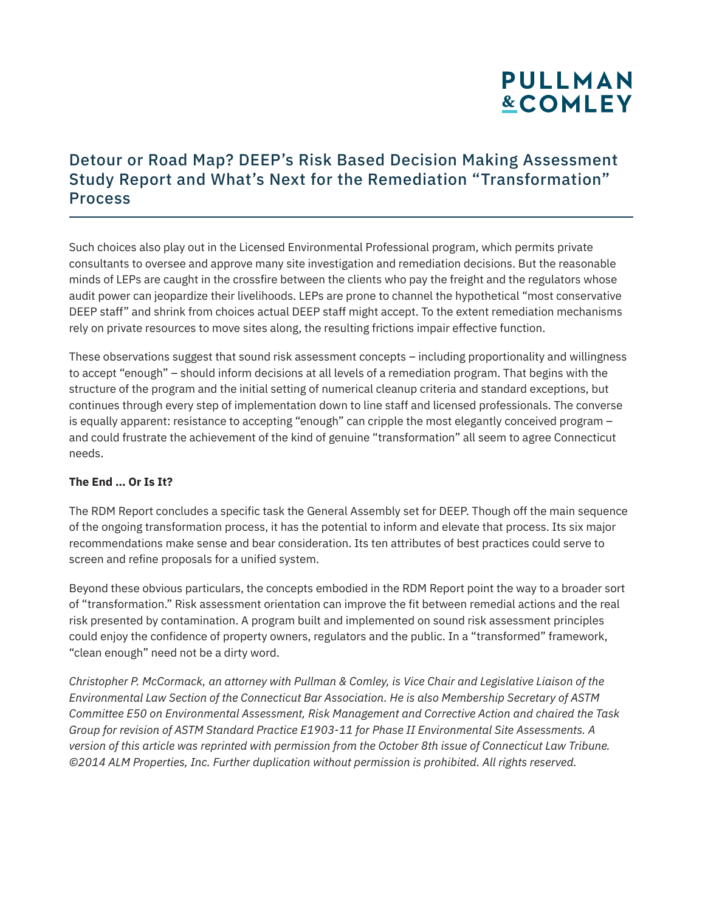### Detour or Road Map? DEEP's Risk Based Decision Making Assessment Study Report and What's Next for the Remediation "Transformation" Process

Such choices also play out in the Licensed Environmental Professional program, which permits private consultants to oversee and approve many site investigation and remediation decisions. But the reasonable minds of LEPs are caught in the crossfire between the clients who pay the freight and the regulators whose audit power can jeopardize their livelihoods. LEPs are prone to channel the hypothetical "most conservative DEEP staff" and shrink from choices actual DEEP staff might accept. To the extent remediation mechanisms rely on private resources to move sites along, the resulting frictions impair effective function.

These observations suggest that sound risk assessment concepts – including proportionality and willingness to accept "enough" – should inform decisions at all levels of a remediation program. That begins with the structure of the program and the initial setting of numerical cleanup criteria and standard exceptions, but continues through every step of implementation down to line staff and licensed professionals. The converse is equally apparent: resistance to accepting "enough" can cripple the most elegantly conceived program – and could frustrate the achievement of the kind of genuine "transformation" all seem to agree Connecticut needs.

#### **The End … Or Is It?**

The RDM Report concludes a specific task the General Assembly set for DEEP. Though off the main sequence of the ongoing transformation process, it has the potential to inform and elevate that process. Its six major recommendations make sense and bear consideration. Its ten attributes of best practices could serve to screen and refine proposals for a unified system.

Beyond these obvious particulars, the concepts embodied in the RDM Report point the way to a broader sort of "transformation." Risk assessment orientation can improve the fit between remedial actions and the real risk presented by contamination. A program built and implemented on sound risk assessment principles could enjoy the confidence of property owners, regulators and the public. In a "transformed" framework, "clean enough" need not be a dirty word.

*Christopher P. McCormack, an attorney with Pullman & Comley, is Vice Chair and Legislative Liaison of the Environmental Law Section of the Connecticut Bar Association. He is also Membership Secretary of ASTM Committee E50 on Environmental Assessment, Risk Management and Corrective Action and chaired the Task Group for revision of ASTM Standard Practice E1903-11 for Phase II Environmental Site Assessments. A version of this article was reprinted with permission from the October 8th issue of Connecticut Law Tribune. ©2014 ALM Properties, Inc. Further duplication without permission is prohibited. All rights reserved.*